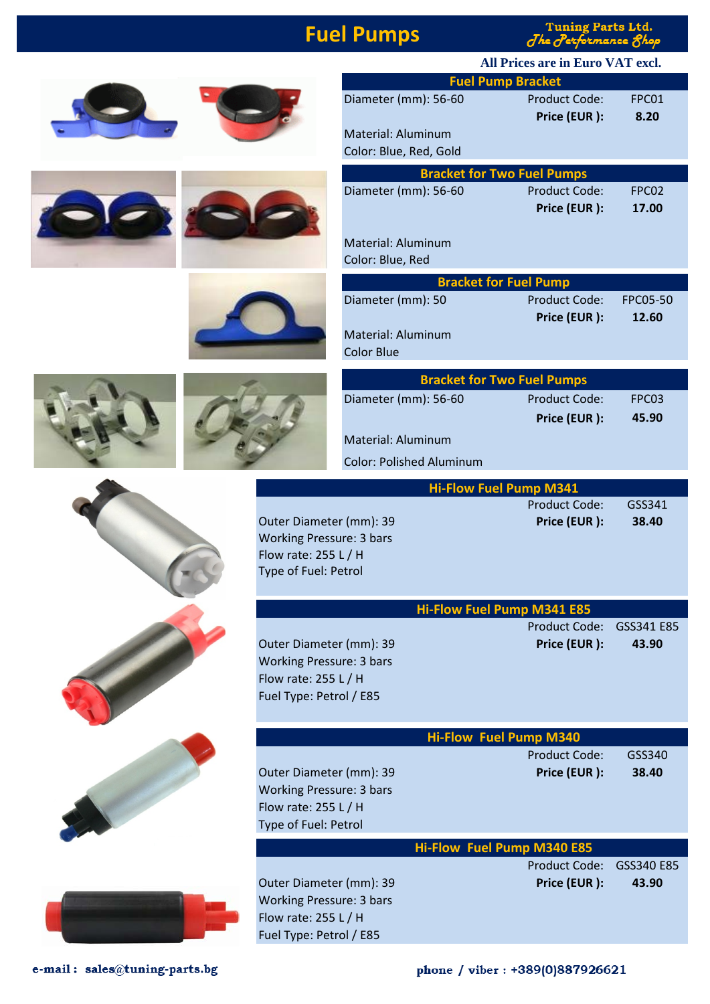## **Fuel Pumps**

**Tuning Parts Ltd.**  $J$ he  $J$ er ormance fhop





| Diameter (mm): 56-60              | Product Code: | FPC01             |  |  |
|-----------------------------------|---------------|-------------------|--|--|
|                                   | Price (EUR):  | 8.20              |  |  |
| <b>Material: Aluminum</b>         |               |                   |  |  |
| Color: Blue, Red, Gold            |               |                   |  |  |
| <b>Bracket for Two Fuel Pumps</b> |               |                   |  |  |
| Diameter (mm): 56-60              | Product Code: | FPC <sub>02</sub> |  |  |
|                                   | Price (EUR):  | 17.00             |  |  |

Material: Aluminum

Color: Blue, Red

| <b>Bracket for Fuel Pump</b> |               |          |  |  |  |
|------------------------------|---------------|----------|--|--|--|
| Diameter (mm): 50            | Product Code: | FPC05-50 |  |  |  |
|                              | Price (EUR):  | 12.60    |  |  |  |
| Material: Aluminum           |               |          |  |  |  |
| Color Blue                   |               |          |  |  |  |
|                              |               |          |  |  |  |

| <b>Bracket for Two Fuel Pumps</b> |                      |                   |  |  |
|-----------------------------------|----------------------|-------------------|--|--|
| Diameter (mm): 56-60              | <b>Product Code:</b> | FPC <sub>03</sub> |  |  |
|                                   | Price (EUR):         | 45.90             |  |  |
| Material: Aluminum                |                      |                   |  |  |
| <b>Color: Polished Aluminum</b>   |                      |                   |  |  |

|                                                                                                               | <b>Hi-Flow Fuel Pump M341</b>        |                 |
|---------------------------------------------------------------------------------------------------------------|--------------------------------------|-----------------|
| Outer Diameter (mm): 39<br><b>Working Pressure: 3 bars</b><br>Flow rate: 255 L / H<br>Type of Fuel: Petrol    | <b>Product Code:</b><br>Price (EUR): | GSS341<br>38.40 |
|                                                                                                               | <b>Hi-Flow Fuel Pump M341 E85</b>    |                 |
|                                                                                                               | <b>Product Code:</b>                 | GSS341 E85      |
| Outer Diameter (mm): 39<br><b>Working Pressure: 3 bars</b><br>Flow rate: 255 L / H<br>Fuel Type: Petrol / E85 | Price (EUR):                         | 43.90           |
|                                                                                                               | <b>Hi-Flow Fuel Pump M340</b>        |                 |
|                                                                                                               | <b>Product Code:</b>                 | GSS340          |
| Outer Diameter (mm): 39<br><b>Working Pressure: 3 bars</b>                                                    | Price (EUR):                         | 38.40           |
| Flow rate: 255 L / H                                                                                          |                                      |                 |
| Type of Fuel: Petrol                                                                                          |                                      |                 |
|                                                                                                               | <b>Hi-Flow Fuel Pump M340 E85</b>    |                 |
|                                                                                                               | <b>Product Code:</b>                 | GSS340 E85      |
| Outer Diameter (mm): 39                                                                                       | Price (EUR):                         | 43.90           |
| <b>Working Pressure: 3 bars</b>                                                                               |                                      |                 |
| Flow rate: 255 L / H                                                                                          |                                      |                 |
| Fuel Type: Petrol / E85                                                                                       |                                      |                 |